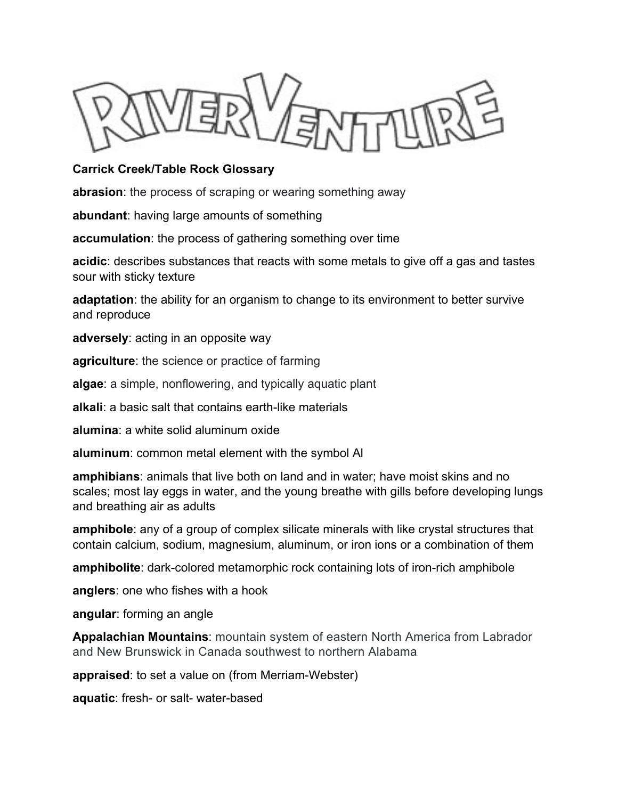

# **Carrick Creek/Table Rock Glossary**

**abrasion**: the process of scraping or wearing something away

**abundant**: having large amounts of something

**accumulation**: the process of gathering something over time

**acidic**: describes substances that reacts with some metals to give off a gas and tastes sour with sticky texture

**adaptation**: the ability for an organism to change to its environment to better survive and reproduce

**adversely**: acting in an opposite way

**agriculture**: the science or practice of farming

**algae**: a simple, nonflowering, and typically aquatic plant

**alkali**: a basic salt that contains earth-like materials

**alumina**: a white solid aluminum oxide

**aluminum**: common metal element with the symbol Al

**amphibians**: animals that live both on land and in water; have moist skins and no scales; most lay eggs in water, and the young breathe with gills before developing lungs and breathing air as adults

**amphibole**: any of a group of complex silicate minerals with like crystal structures that contain calcium, sodium, magnesium, aluminum, or iron ions or a combination of them

**amphibolite**: dark-colored metamorphic rock containing lots of iron-rich amphibole

**anglers**: one who fishes with a hook

**angular**: forming an angle

**Appalachian Mountains**: mountain system of eastern North America from Labrador and New Brunswick in Canada southwest to northern Alabama

**appraised**: to set a value on (from Merriam-Webster)

**aquatic**: fresh- or salt- water-based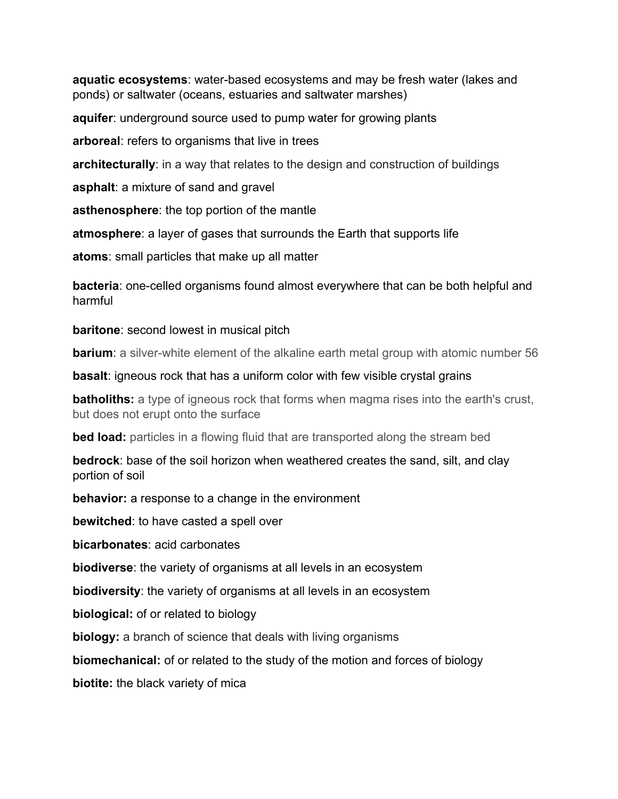**aquatic ecosystems**: water-based ecosystems and may be fresh water (lakes and ponds) or saltwater (oceans, estuaries and saltwater marshes)

**aquifer**: underground source used to pump water for growing plants

**arboreal**: refers to organisms that live in trees

**architecturally**: in a way that relates to the design and construction of buildings

**asphalt**: a mixture of sand and gravel

**asthenosphere**: the top portion of the mantle

**atmosphere**: a layer of gases that surrounds the Earth that supports life

**atoms**: small particles that make up all matter

**bacteria**: one-celled organisms found almost everywhere that can be both helpful and harmful

**baritone**: second lowest in musical pitch

**barium**: a silver-white element of the alkaline earth metal group with atomic number 56

**basalt**: igneous rock that has a uniform color with few visible crystal grains

**batholiths:** a type of igneous rock that forms when magma rises into the earth's crust, but does not erupt onto the surface

**bed load:** particles in a flowing fluid that are transported along the stream bed

**bedrock**: base of the soil horizon when weathered creates the sand, silt, and clay portion of soil

**behavior:** a response to a change in the environment

**bewitched**: to have casted a spell over

**bicarbonates**: acid carbonates

**biodiverse**: the variety of organisms at all levels in an ecosystem

**biodiversity**: the variety of organisms at all levels in an ecosystem

**biological:** of or related to biology

**biology:** a branch of science that deals with living organisms

**biomechanical:** of or related to the study of the motion and forces of biology

**biotite:** the black variety of mica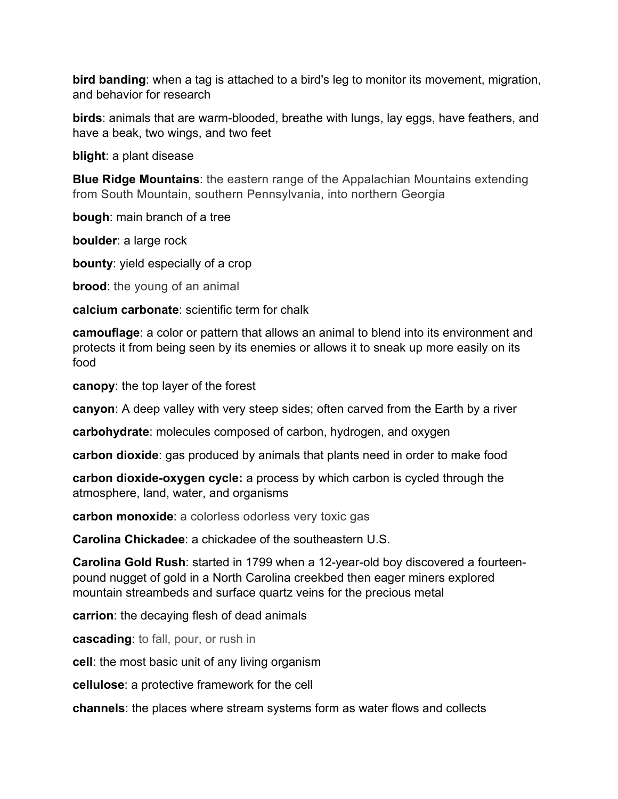**bird banding**: when a tag is attached to a bird's leg to monitor its movement, migration, and behavior for research

**birds**: animals that are warm-blooded, breathe with lungs, lay eggs, have feathers, and have a beak, two wings, and two feet

**blight**: a plant disease

**Blue Ridge Mountains**: the eastern range of the Appalachian Mountains extending from South Mountain, southern Pennsylvania, into northern Georgia

**bough**: main branch of a tree

**boulder**: a large rock

**bounty**: yield especially of a crop

**brood**: the young of an animal

**calcium carbonate**: scientific term for chalk

**camouflage**: a color or pattern that allows an animal to blend into its environment and protects it from being seen by its enemies or allows it to sneak up more easily on its food

**canopy**: the top layer of the forest

**canyon**: A deep valley with very steep sides; often carved from the Earth by a river

**carbohydrate**: molecules composed of carbon, hydrogen, and oxygen

**carbon dioxide**: gas produced by animals that plants need in order to make food

**carbon dioxide-oxygen cycle:** a process by which carbon is cycled through the atmosphere, land, water, and organisms

**carbon monoxide**: a colorless odorless very toxic gas

**Carolina Chickadee**: a chickadee of the southeastern U.S.

**Carolina Gold Rush**: started in 1799 when a 12-year-old boy discovered a fourteenpound nugget of gold in a North Carolina creekbed then eager miners explored mountain streambeds and surface quartz veins for the precious metal

**carrion**: the decaying flesh of dead animals

**cascading**: to fall, pour, or rush in

**cell**: the most basic unit of any living organism

**cellulose**: a protective framework for the cell

**channels**: the places where stream systems form as water flows and collects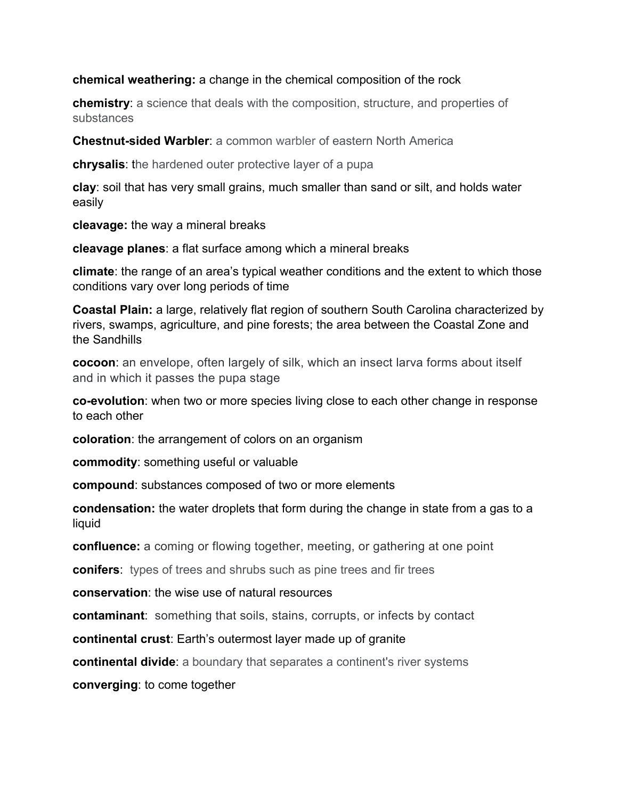### **chemical weathering:** a change in the chemical composition of the rock

**chemistry**: a science that deals with the composition, structure, and properties of substances

**Chestnut-sided Warbler**: a common warbler of eastern North America

**chrysalis**: the hardened outer protective layer of a pupa

**clay**: soil that has very small grains, much smaller than sand or silt, and holds water easily

**cleavage:** the way a mineral breaks

**cleavage planes**: a flat surface among which a mineral breaks

**climate**: the range of an area's typical weather conditions and the extent to which those conditions vary over long periods of time

**Coastal Plain:** a large, relatively flat region of southern South Carolina characterized by rivers, swamps, agriculture, and pine forests; the area between the Coastal Zone and the Sandhills

**cocoon**: an envelope, often largely of silk, which an insect larva forms about itself and in which it passes the pupa stage

**co-evolution**: when two or more species living close to each other change in response to each other

**coloration**: the arrangement of colors on an organism

**commodity**: something useful or valuable

**compound**: substances composed of two or more elements

**condensation:** the water droplets that form during the change in state from a gas to a liquid

**confluence:** a coming or flowing together, meeting, or gathering at one point

**conifers**: types of trees and shrubs such as pine trees and fir trees

**conservation**: the wise use of natural resources

**contaminant**: something that soils, stains, corrupts, or infects by contact

**continental crust**: Earth's outermost layer made up of granite

**continental divide**: a boundary that separates a continent's river systems

**converging**: to come together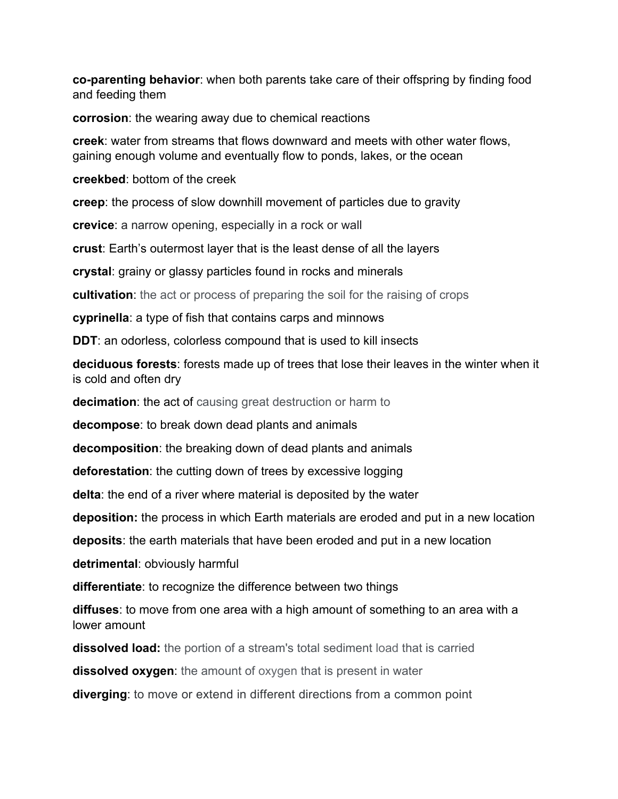**co-parenting behavior**: when both parents take care of their offspring by finding food and feeding them

**corrosion**: the wearing away due to chemical reactions

**creek**: water from streams that flows downward and meets with other water flows, gaining enough volume and eventually flow to ponds, lakes, or the ocean

**creekbed**: bottom of the creek

**creep**: the process of slow downhill movement of particles due to gravity

**crevice**: a narrow opening, especially in a rock or wall

**crust**: Earth's outermost layer that is the least dense of all the layers

**crystal**: grainy or glassy particles found in rocks and minerals

**cultivation**: the act or process of preparing the soil for the raising of crops

**cyprinella**: a type of fish that contains carps and minnows

**DDT**: an odorless, colorless compound that is used to kill insects

**deciduous forests**: forests made up of trees that lose their leaves in the winter when it is cold and often dry

**decimation**: the act of causing great destruction or harm to

**decompose**: to break down dead plants and animals

**decomposition**: the breaking down of dead plants and animals

**deforestation**: the cutting down of trees by excessive logging

**delta**: the end of a river where material is deposited by the water

**deposition:** the process in which Earth materials are eroded and put in a new location

**deposits**: the earth materials that have been eroded and put in a new location

**detrimental**: obviously harmful

**differentiate**: to recognize the difference between two things

**diffuses**: to move from one area with a high amount of something to an area with a lower amount

**dissolved load:** the portion of a stream's total sediment load that is carried

**dissolved oxygen**: the amount of oxygen that is present in water

**diverging**: to move or extend in different directions from a common point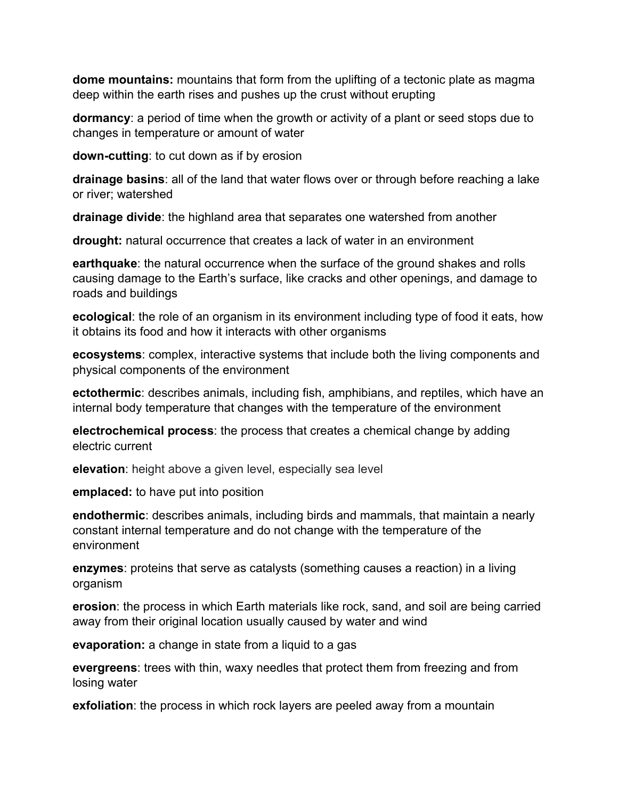**dome mountains:** mountains that form from the uplifting of a tectonic plate as magma deep within the earth rises and pushes up the crust without erupting

**dormancy**: a period of time when the growth or activity of a plant or seed stops due to changes in temperature or amount of water

**down-cutting**: to cut down as if by erosion

**drainage basins**: all of the land that water flows over or through before reaching a lake or river; watershed

**drainage divide**: the highland area that separates one watershed from another

**drought:** natural occurrence that creates a lack of water in an environment

**earthquake**: the natural occurrence when the surface of the ground shakes and rolls causing damage to the Earth's surface, like cracks and other openings, and damage to roads and buildings

**ecological**: the role of an organism in its environment including type of food it eats, how it obtains its food and how it interacts with other organisms

**ecosystems**: complex, interactive systems that include both the living components and physical components of the environment

**ectothermic**: describes animals, including fish, amphibians, and reptiles, which have an internal body temperature that changes with the temperature of the environment

**electrochemical process**: the process that creates a chemical change by adding electric current

**elevation**: height above a given level, especially sea level

**emplaced:** to have put into position

**endothermic**: describes animals, including birds and mammals, that maintain a nearly constant internal temperature and do not change with the temperature of the environment

**enzymes**: proteins that serve as catalysts (something causes a reaction) in a living organism

**erosion**: the process in which Earth materials like rock, sand, and soil are being carried away from their original location usually caused by water and wind

**evaporation:** a change in state from a liquid to a gas

**evergreens**: trees with thin, waxy needles that protect them from freezing and from losing water

**exfoliation**: the process in which rock layers are peeled away from a mountain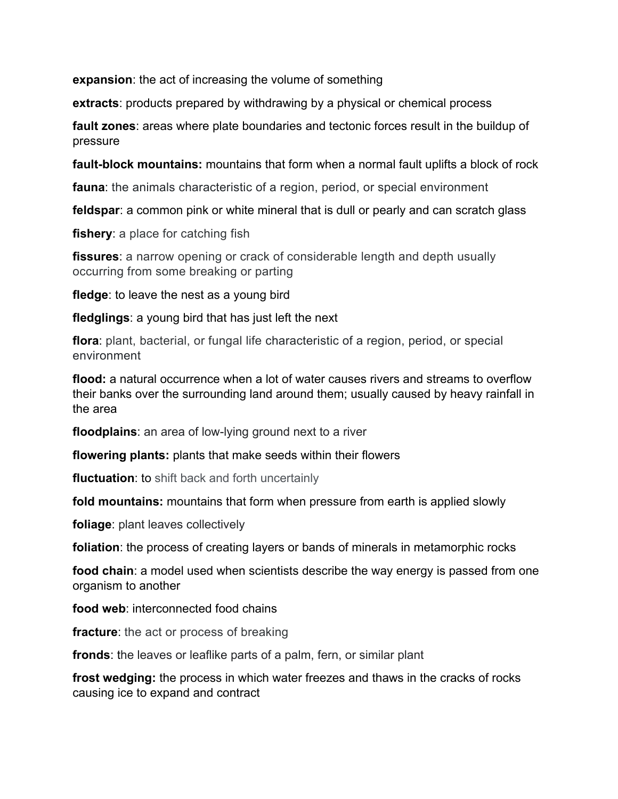**expansion**: the act of increasing the volume of something

**extracts**: products prepared by withdrawing by a physical or chemical process

**fault zones**: areas where plate boundaries and tectonic forces result in the buildup of pressure

**fault-block mountains:** mountains that form when a normal fault uplifts a block of rock

**fauna**: the animals characteristic of a region, period, or special environment

**feldspar**: a common pink or white mineral that is dull or pearly and can scratch glass

**fishery**: a place for catching fish

**fissures**: a narrow opening or crack of considerable length and depth usually occurring from some breaking or parting

**fledge**: to leave the nest as a young bird

**fledglings**: a young bird that has just left the next

**flora**: plant, bacterial, or fungal life characteristic of a region, period, or special environment

**flood:** a natural occurrence when a lot of water causes rivers and streams to overflow their banks over the surrounding land around them; usually caused by heavy rainfall in the area

**floodplains**: an area of low-lying ground next to a river

**flowering plants:** plants that make seeds within their flowers

**fluctuation**: to shift back and forth uncertainly

**fold mountains:** mountains that form when pressure from earth is applied slowly

**foliage**: plant leaves collectively

**foliation**: the process of creating layers or bands of minerals in metamorphic rocks

**food chain**: a model used when scientists describe the way energy is passed from one organism to another

**food web**: interconnected food chains

**fracture**: the act or process of breaking

**fronds**: the leaves or leaflike parts of a palm, fern, or similar plant

**frost wedging:** the process in which water freezes and thaws in the cracks of rocks causing ice to expand and contract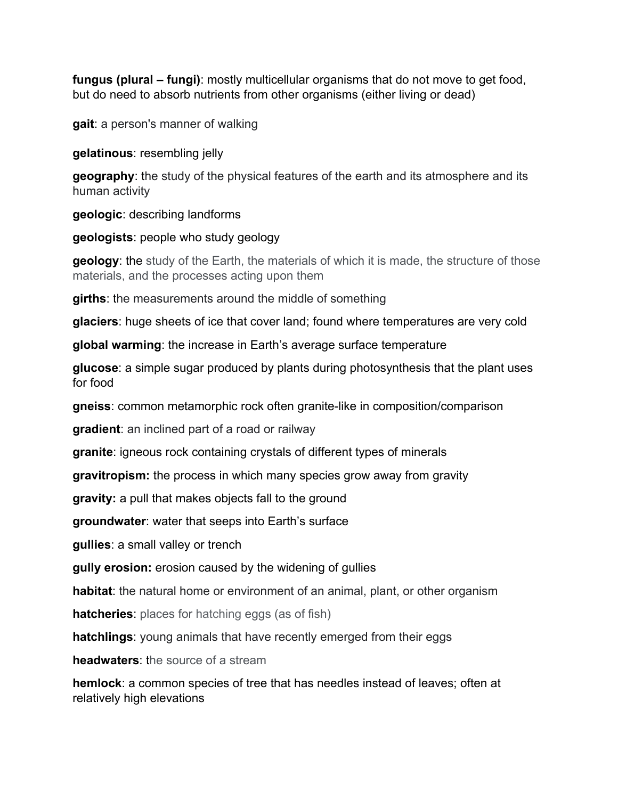**fungus (plural – fungi)**: mostly multicellular organisms that do not move to get food, but do need to absorb nutrients from other organisms (either living or dead)

**gait**: a person's manner of walking

**gelatinous**: resembling jelly

**geography**: the study of the physical features of the earth and its atmosphere and its human activity

**geologic**: describing landforms

**geologists**: people who study geology

**geology**: the study of the Earth, the materials of which it is made, the structure of those materials, and the processes acting upon them

**girths**: the measurements around the middle of something

**glaciers**: huge sheets of ice that cover land; found where temperatures are very cold

**global warming**: the increase in Earth's average surface temperature

**glucose**: a simple sugar produced by plants during photosynthesis that the plant uses for food

**gneiss**: common metamorphic rock often granite-like in composition/comparison

**gradient**: an inclined part of a road or railway

**granite**: igneous rock containing crystals of different types of minerals

**gravitropism:** the process in which many species grow away from gravity

**gravity:** a pull that makes objects fall to the ground

**groundwater**: water that seeps into Earth's surface

**gullies**: a small valley or trench

**gully erosion:** erosion caused by the widening of gullies

**habitat**: the natural home or environment of an animal, plant, or other organism

**hatcheries**: places for hatching eggs (as of fish)

**hatchlings**: young animals that have recently emerged from their eggs

**headwaters**: the source of a stream

**hemlock**: a common species of tree that has needles instead of leaves; often at relatively high elevations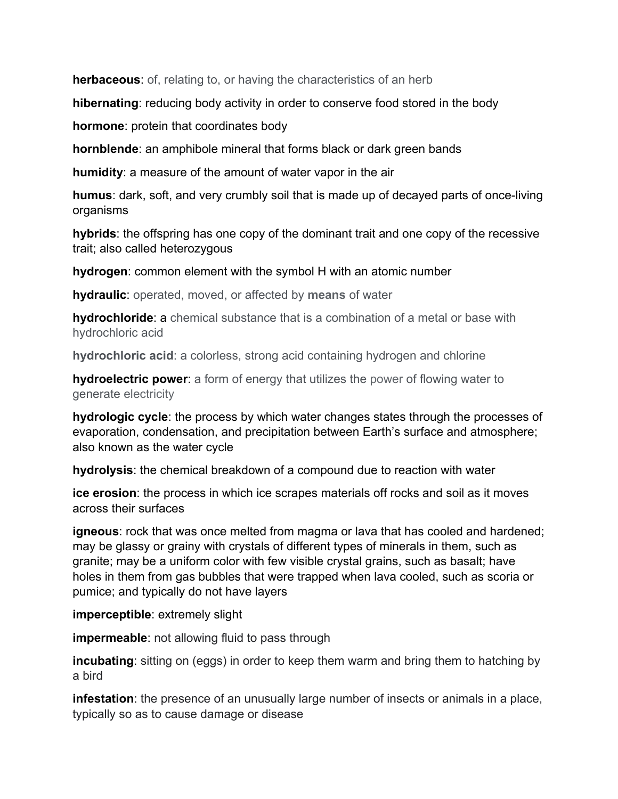**herbaceous**: of, relating to, or having the characteristics of an herb

**hibernating**: reducing body activity in order to conserve food stored in the body

**hormone**: protein that coordinates body

**hornblende**: an amphibole mineral that forms black or dark green bands

**humidity**: a measure of the amount of water vapor in the air

**humus**: dark, soft, and very crumbly soil that is made up of decayed parts of once-living organisms

**hybrids**: the offspring has one copy of the dominant trait and one copy of the recessive trait; also called heterozygous

**hydrogen**: common element with the symbol H with an atomic number

**hydraulic**: operated, moved, or affected by **means** of water

**hydrochloride**: a chemical substance that is a combination of a metal or base with hydrochloric acid

**hydrochloric acid**: a colorless, strong acid containing hydrogen and chlorine

**hydroelectric power**: a form of energy that utilizes the power of flowing water to generate electricity

**hydrologic cycle**: the process by which water changes states through the processes of evaporation, condensation, and precipitation between Earth's surface and atmosphere; also known as the water cycle

**hydrolysis**: the chemical breakdown of a compound due to reaction with water

**ice erosion**: the process in which ice scrapes materials off rocks and soil as it moves across their surfaces

**igneous**: rock that was once melted from magma or lava that has cooled and hardened; may be glassy or grainy with crystals of different types of minerals in them, such as granite; may be a uniform color with few visible crystal grains, such as basalt; have holes in them from gas bubbles that were trapped when lava cooled, such as scoria or pumice; and typically do not have layers

**imperceptible**: extremely slight

**impermeable**: not allowing fluid to pass through

**incubating**: sitting on (eggs) in order to keep them warm and bring them to hatching by a bird

**infestation**: the presence of an unusually large number of insects or animals in a place, typically so as to cause damage or disease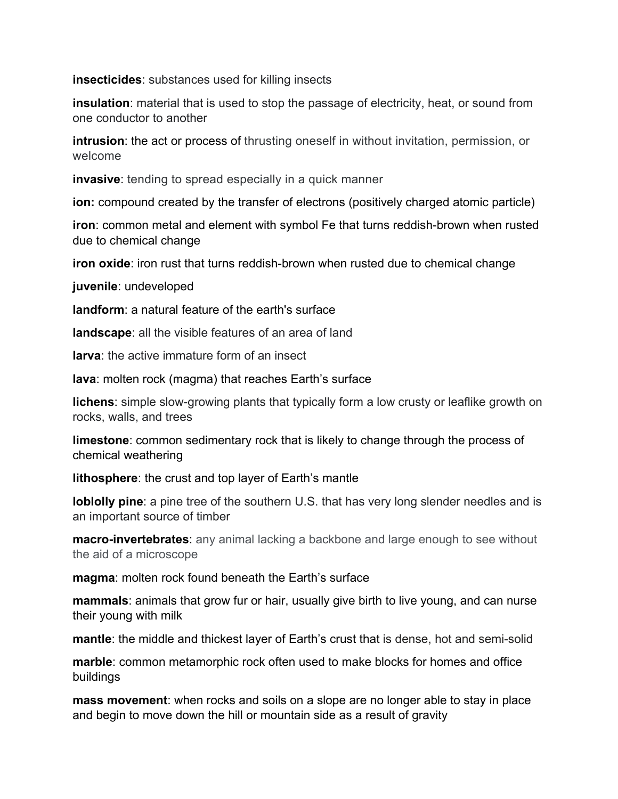**insecticides**: substances used for killing insects

**insulation**: material that is used to stop the passage of electricity, heat, or sound from one conductor to another

**intrusion**: the act or process of thrusting oneself in without invitation, permission, or welcome

**invasive:** tending to spread especially in a quick manner

**ion:** compound created by the transfer of electrons (positively charged atomic particle)

**iron**: common metal and element with symbol Fe that turns reddish-brown when rusted due to chemical change

**iron oxide**: iron rust that turns reddish-brown when rusted due to chemical change

**juvenile**: undeveloped

**landform**: a natural feature of the earth's surface

**landscape**: all the visible features of an area of land

**larva**: the active immature form of an insect

**lava**: molten rock (magma) that reaches Earth's surface

**lichens**: simple slow-growing plants that typically form a low crusty or leaflike growth on rocks, walls, and trees

**limestone**: common sedimentary rock that is likely to change through the process of chemical weathering

**lithosphere**: the crust and top layer of Earth's mantle

**loblolly pine**: a pine tree of the southern U.S. that has very long slender needles and is an important source of timber

**macro-invertebrates**: any animal lacking a backbone and large enough to see without the aid of a microscope

**magma**: molten rock found beneath the Earth's surface

**mammals**: animals that grow fur or hair, usually give birth to live young, and can nurse their young with milk

**mantle**: the middle and thickest layer of Earth's crust that is dense, hot and semi-solid

**marble**: common metamorphic rock often used to make blocks for homes and office buildings

**mass movement**: when rocks and soils on a slope are no longer able to stay in place and begin to move down the hill or mountain side as a result of gravity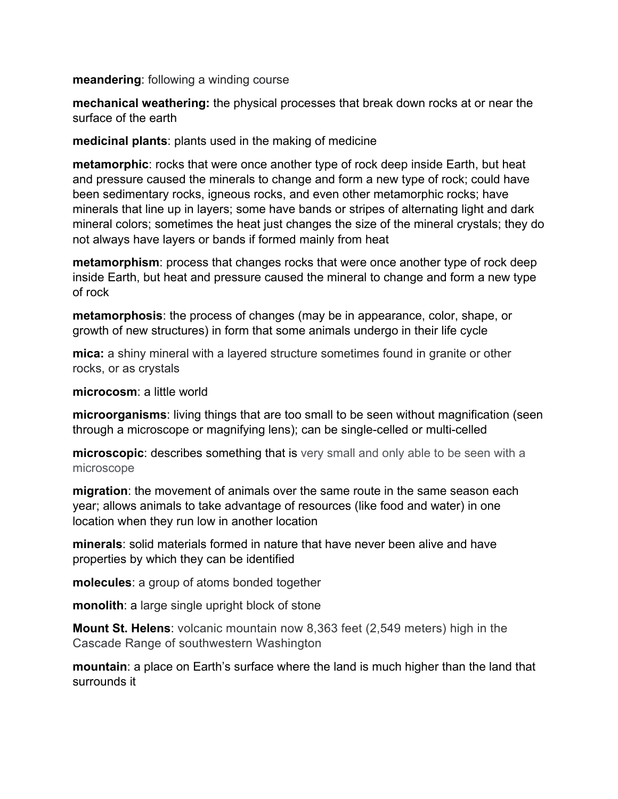#### **meandering**: following a winding course

**mechanical weathering:** the physical processes that break down rocks at or near the surface of the earth

## **medicinal plants**: plants used in the making of medicine

**metamorphic**: rocks that were once another type of rock deep inside Earth, but heat and pressure caused the minerals to change and form a new type of rock; could have been sedimentary rocks, igneous rocks, and even other metamorphic rocks; have minerals that line up in layers; some have bands or stripes of alternating light and dark mineral colors; sometimes the heat just changes the size of the mineral crystals; they do not always have layers or bands if formed mainly from heat

**metamorphism**: process that changes rocks that were once another type of rock deep inside Earth, but heat and pressure caused the mineral to change and form a new type of rock

**metamorphosis**: the process of changes (may be in appearance, color, shape, or growth of new structures) in form that some animals undergo in their life cycle

**mica:** a shiny mineral with a layered structure sometimes found in granite or other rocks, or as crystals

## **microcosm**: a little world

**microorganisms**: living things that are too small to be seen without magnification (seen through a microscope or magnifying lens); can be single-celled or multi-celled

**microscopic**: describes something that is very small and only able to be seen with a microscope

**migration**: the movement of animals over the same route in the same season each year; allows animals to take advantage of resources (like food and water) in one location when they run low in another location

**minerals**: solid materials formed in nature that have never been alive and have properties by which they can be identified

**molecules**: a group of atoms bonded together

**monolith**: a large single upright block of stone

**Mount St. Helens**: volcanic mountain now 8,363 feet (2,549 meters) high in the Cascade Range of southwestern Washington

**mountain**: a place on Earth's surface where the land is much higher than the land that surrounds it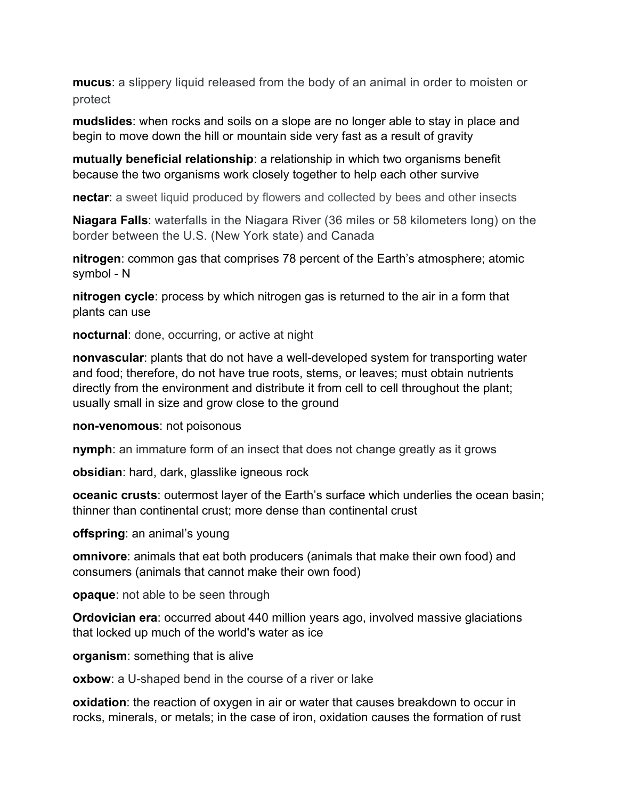**mucus**: a slippery liquid released from the body of an animal in order to moisten or protect

**mudslides**: when rocks and soils on a slope are no longer able to stay in place and begin to move down the hill or mountain side very fast as a result of gravity

**mutually beneficial relationship**: a relationship in which two organisms benefit because the two organisms work closely together to help each other survive

**nectar**: a sweet liquid produced by flowers and collected by bees and other insects

**Niagara Falls**: waterfalls in the Niagara River (36 miles or 58 kilometers long) on the border between the U.S. (New York state) and Canada

**nitrogen**: common gas that comprises 78 percent of the Earth's atmosphere; atomic symbol - N

**nitrogen cycle**: process by which nitrogen gas is returned to the air in a form that plants can use

**nocturnal**: done, occurring, or active at night

**nonvascular**: plants that do not have a well-developed system for transporting water and food; therefore, do not have true roots, stems, or leaves; must obtain nutrients directly from the environment and distribute it from cell to cell throughout the plant; usually small in size and grow close to the ground

**non-venomous**: not poisonous

**nymph**: an immature form of an insect that does not change greatly as it grows

**obsidian**: hard, dark, glasslike igneous rock

**oceanic crusts**: outermost layer of the Earth's surface which underlies the ocean basin; thinner than continental crust; more dense than continental crust

**offspring**: an animal's young

**omnivore**: animals that eat both producers (animals that make their own food) and consumers (animals that cannot make their own food)

**opaque**: not able to be seen through

**Ordovician era**: occurred about 440 million years ago, involved massive glaciations that locked up much of the world's water as ice

**organism**: something that is alive

**oxbow:** a U-shaped bend in the course of a river or lake

**oxidation**: the reaction of oxygen in air or water that causes breakdown to occur in rocks, minerals, or metals; in the case of iron, oxidation causes the formation of rust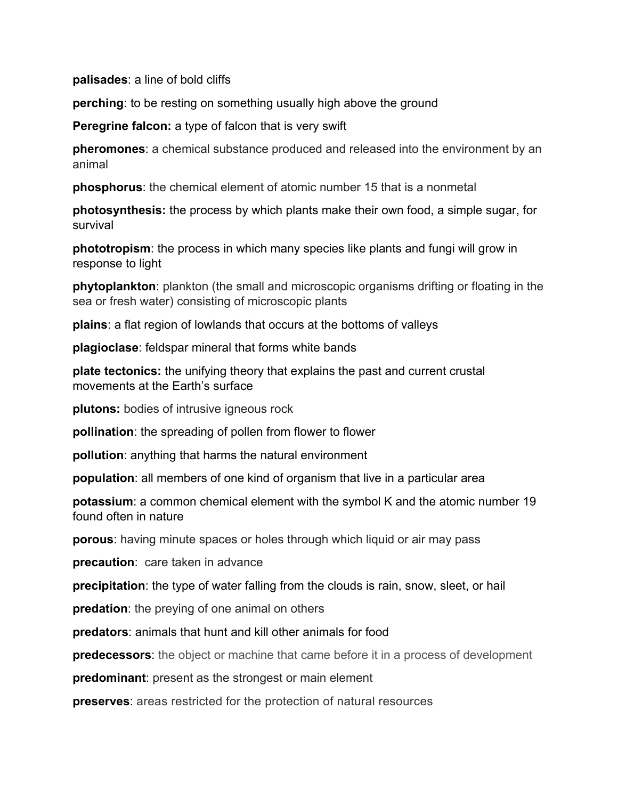**palisades**: a line of bold cliffs

**perching**: to be resting on something usually high above the ground

**Peregrine falcon:** a type of falcon that is very swift

**pheromones**: a chemical substance produced and released into the environment by an animal

**phosphorus**: the chemical element of atomic number 15 that is a nonmetal

**photosynthesis:** the process by which plants make their own food, a simple sugar, for survival

**phototropism**: the process in which many species like plants and fungi will grow in response to light

**phytoplankton**: plankton (the small and microscopic organisms drifting or floating in the sea or fresh water) consisting of microscopic plants

**plains**: a flat region of lowlands that occurs at the bottoms of valleys

**plagioclase**: feldspar mineral that forms white bands

**plate tectonics:** the unifying theory that explains the past and current crustal movements at the Earth's surface

**plutons:** bodies of intrusive igneous rock

**pollination**: the spreading of pollen from flower to flower

**pollution**: anything that harms the natural environment

**population**: all members of one kind of organism that live in a particular area

**potassium**: a common chemical element with the symbol K and the atomic number 19 found often in nature

**porous**: having minute spaces or holes through which liquid or air may pass

**precaution**: care taken in advance

**precipitation**: the type of water falling from the clouds is rain, snow, sleet, or hail

**predation**: the preying of one animal on others

**predators**: animals that hunt and kill other animals for food

**predecessors**: the object or machine that came before it in a process of development

**predominant**: present as the strongest or main element

**preserves**: areas restricted for the protection of natural resources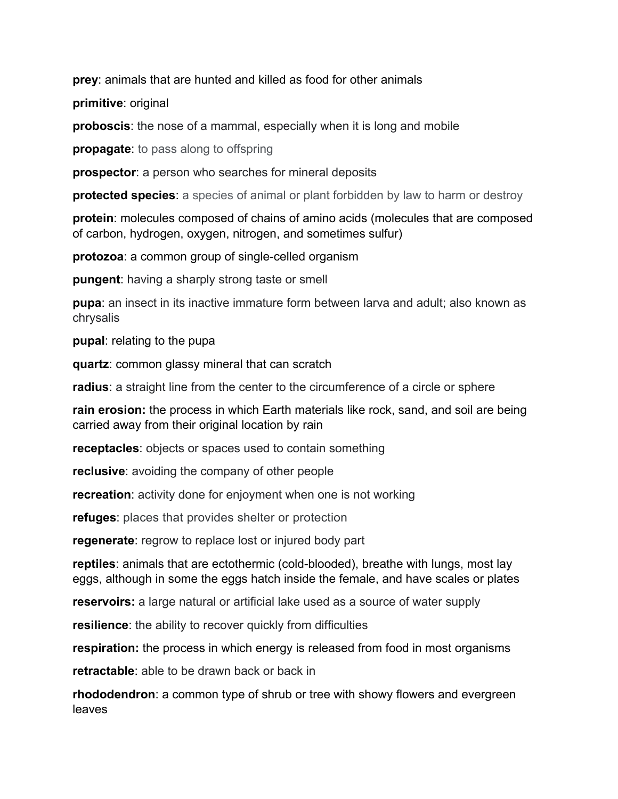**prey**: animals that are hunted and killed as food for other animals

**primitive**: original

**proboscis**: the nose of a mammal, especially when it is long and mobile

**propagate**: to pass along to offspring

**prospector**: a person who searches for mineral deposits

**protected species**: a species of animal or plant forbidden by law to harm or destroy

**protein**: molecules composed of chains of amino acids (molecules that are composed of carbon, hydrogen, oxygen, nitrogen, and sometimes sulfur)

**protozoa**: a common group of single-celled organism

**pungent**: having a sharply strong taste or smell

**pupa**: an insect in its inactive immature form between larva and adult; also known as chrysalis

**pupal**: relating to the pupa

**quartz**: common glassy mineral that can scratch

**radius**: a straight line from the center to the circumference of a circle or sphere

**rain erosion:** the process in which Earth materials like rock, sand, and soil are being carried away from their original location by rain

**receptacles**: objects or spaces used to contain something

**reclusive**: avoiding the company of other people

**recreation**: activity done for enjoyment when one is not working

**refuges**: places that provides shelter or protection

**regenerate**: regrow to replace lost or injured body part

**reptiles**: animals that are ectothermic (cold-blooded), breathe with lungs, most lay eggs, although in some the eggs hatch inside the female, and have scales or plates

**reservoirs:** a large natural or artificial lake used as a source of water supply

**resilience**: the ability to recover quickly from difficulties

**respiration:** the process in which energy is released from food in most organisms

**retractable**: able to be drawn back or back in

**rhododendron**: a common type of shrub or tree with showy flowers and evergreen leaves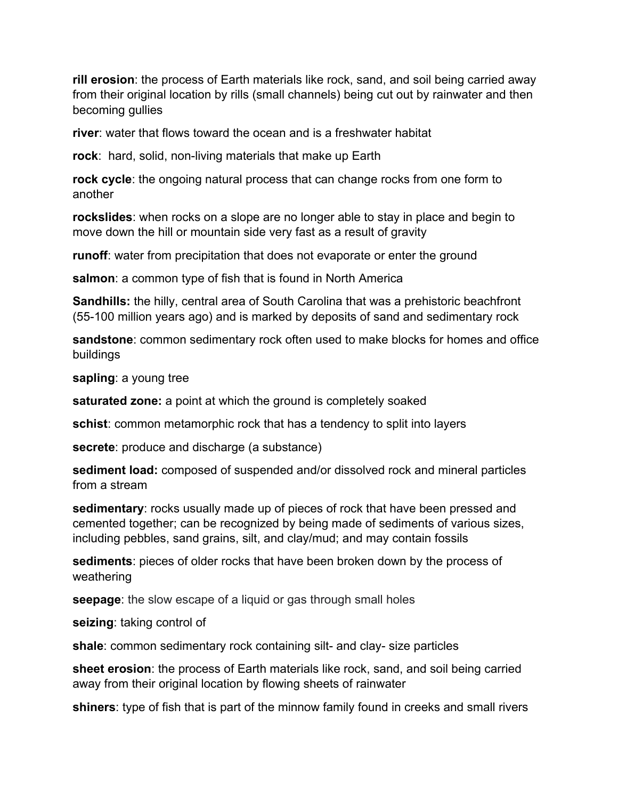**rill erosion**: the process of Earth materials like rock, sand, and soil being carried away from their original location by rills (small channels) being cut out by rainwater and then becoming gullies

**river**: water that flows toward the ocean and is a freshwater habitat

**rock**: hard, solid, non-living materials that make up Earth

**rock cycle**: the ongoing natural process that can change rocks from one form to another

**rockslides**: when rocks on a slope are no longer able to stay in place and begin to move down the hill or mountain side very fast as a result of gravity

**runoff**: water from precipitation that does not evaporate or enter the ground

**salmon**: a common type of fish that is found in North America

**Sandhills:** the hilly, central area of South Carolina that was a prehistoric beachfront (55-100 million years ago) and is marked by deposits of sand and sedimentary rock

**sandstone**: common sedimentary rock often used to make blocks for homes and office buildings

**sapling**: a young tree

**saturated zone:** a point at which the ground is completely soaked

**schist**: common metamorphic rock that has a tendency to split into layers

**secrete**: produce and discharge (a substance)

**sediment load:** composed of suspended and/or dissolved rock and mineral particles from a stream

**sedimentary**: rocks usually made up of pieces of rock that have been pressed and cemented together; can be recognized by being made of sediments of various sizes, including pebbles, sand grains, silt, and clay/mud; and may contain fossils

**sediments**: pieces of older rocks that have been broken down by the process of weathering

**seepage**: the slow escape of a liquid or gas through small holes

**seizing**: taking control of

**shale**: common sedimentary rock containing silt- and clay- size particles

**sheet erosion**: the process of Earth materials like rock, sand, and soil being carried away from their original location by flowing sheets of rainwater

**shiners**: type of fish that is part of the minnow family found in creeks and small rivers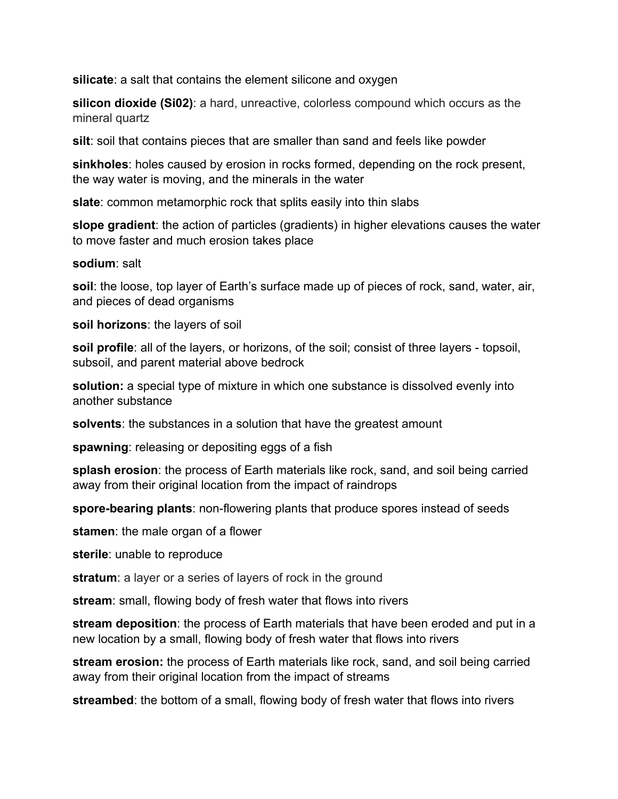**silicate**: a salt that contains the element silicone and oxygen

**silicon dioxide (Si02)**: a hard, unreactive, colorless compound which occurs as the mineral quartz

**silt**: soil that contains pieces that are smaller than sand and feels like powder

**sinkholes**: holes caused by erosion in rocks formed, depending on the rock present, the way water is moving, and the minerals in the water

**slate**: common metamorphic rock that splits easily into thin slabs

**slope gradient**: the action of particles (gradients) in higher elevations causes the water to move faster and much erosion takes place

#### **sodium**: salt

**soil**: the loose, top layer of Earth's surface made up of pieces of rock, sand, water, air, and pieces of dead organisms

**soil horizons**: the layers of soil

**soil profile**: all of the layers, or horizons, of the soil; consist of three layers - topsoil, subsoil, and parent material above bedrock

**solution:** a special type of mixture in which one substance is dissolved evenly into another substance

**solvents**: the substances in a solution that have the greatest amount

**spawning**: releasing or depositing eggs of a fish

**splash erosion**: the process of Earth materials like rock, sand, and soil being carried away from their original location from the impact of raindrops

**spore-bearing plants**: non-flowering plants that produce spores instead of seeds

**stamen**: the male organ of a flower

**sterile**: unable to reproduce

**stratum**: a layer or a series of layers of rock in the ground

**stream**: small, flowing body of fresh water that flows into rivers

**stream deposition**: the process of Earth materials that have been eroded and put in a new location by a small, flowing body of fresh water that flows into rivers

**stream erosion:** the process of Earth materials like rock, sand, and soil being carried away from their original location from the impact of streams

**streambed**: the bottom of a small, flowing body of fresh water that flows into rivers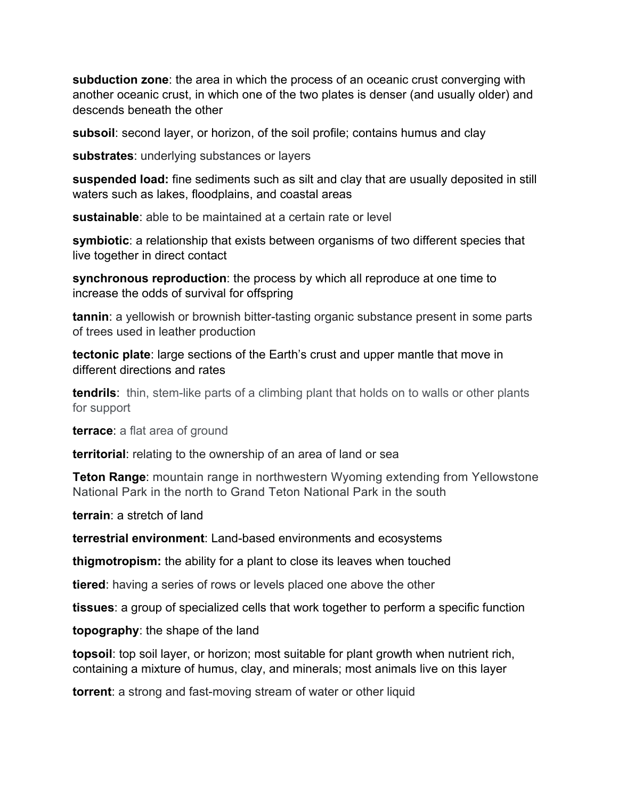**subduction zone**: the area in which the process of an oceanic crust converging with another oceanic crust, in which one of the two plates is denser (and usually older) and descends beneath the other

**subsoil**: second layer, or horizon, of the soil profile; contains humus and clay

**substrates**: underlying substances or layers

**suspended load:** fine sediments such as silt and clay that are usually deposited in still waters such as lakes, floodplains, and coastal areas

**sustainable**: able to be maintained at a certain rate or level

**symbiotic**: a relationship that exists between organisms of two different species that live together in direct contact

**synchronous reproduction**: the process by which all reproduce at one time to increase the odds of survival for offspring

**tannin**: a yellowish or brownish bitter-tasting organic substance present in some parts of trees used in leather production

**tectonic plate**: large sections of the Earth's crust and upper mantle that move in different directions and rates

**tendrils**: thin, stem-like parts of a climbing plant that holds on to walls or other plants for support

**terrace**: a flat area of ground

**territorial**: relating to the ownership of an area of land or sea

**Teton Range**: mountain range in northwestern Wyoming extending from Yellowstone National Park in the north to Grand Teton National Park in the south

**terrain**: a stretch of land

**terrestrial environment**: Land-based environments and ecosystems

**thigmotropism:** the ability for a plant to close its leaves when touched

**tiered**: having a series of rows or levels placed one above the other

**tissues**: a group of specialized cells that work together to perform a specific function

**topography**: the shape of the land

**topsoil**: top soil layer, or horizon; most suitable for plant growth when nutrient rich, containing a mixture of humus, clay, and minerals; most animals live on this layer

**torrent**: a strong and fast-moving stream of water or other liquid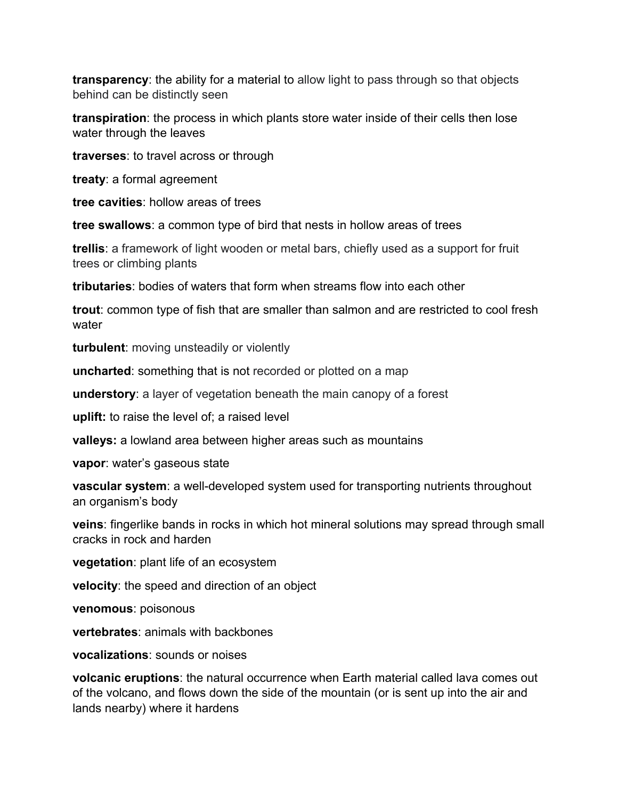**transparency**: the ability for a material to allow light to pass through so that objects behind can be distinctly seen

**transpiration**: the process in which plants store water inside of their cells then lose water through the leaves

**traverses**: to travel across or through

**treaty**: a formal agreement

**tree cavities**: hollow areas of trees

**tree swallows**: a common type of bird that nests in hollow areas of trees

**trellis**: a framework of light wooden or metal bars, chiefly used as a support for fruit trees or climbing plants

**tributaries**: bodies of waters that form when streams flow into each other

**trout**: common type of fish that are smaller than salmon and are restricted to cool fresh water

**turbulent**: moving unsteadily or violently

**uncharted**: something that is not recorded or plotted on a map

**understory**: a layer of vegetation beneath the main canopy of a forest

**uplift:** to raise the level of; a raised level

**valleys:** a lowland area between higher areas such as mountains

**vapor**: water's gaseous state

**vascular system**: a well-developed system used for transporting nutrients throughout an organism's body

**veins**: fingerlike bands in rocks in which hot mineral solutions may spread through small cracks in rock and harden

**vegetation**: plant life of an ecosystem

**velocity**: the speed and direction of an object

**venomous**: poisonous

**vertebrates**: animals with backbones

**vocalizations**: sounds or noises

**volcanic eruptions**: the natural occurrence when Earth material called lava comes out of the volcano, and flows down the side of the mountain (or is sent up into the air and lands nearby) where it hardens